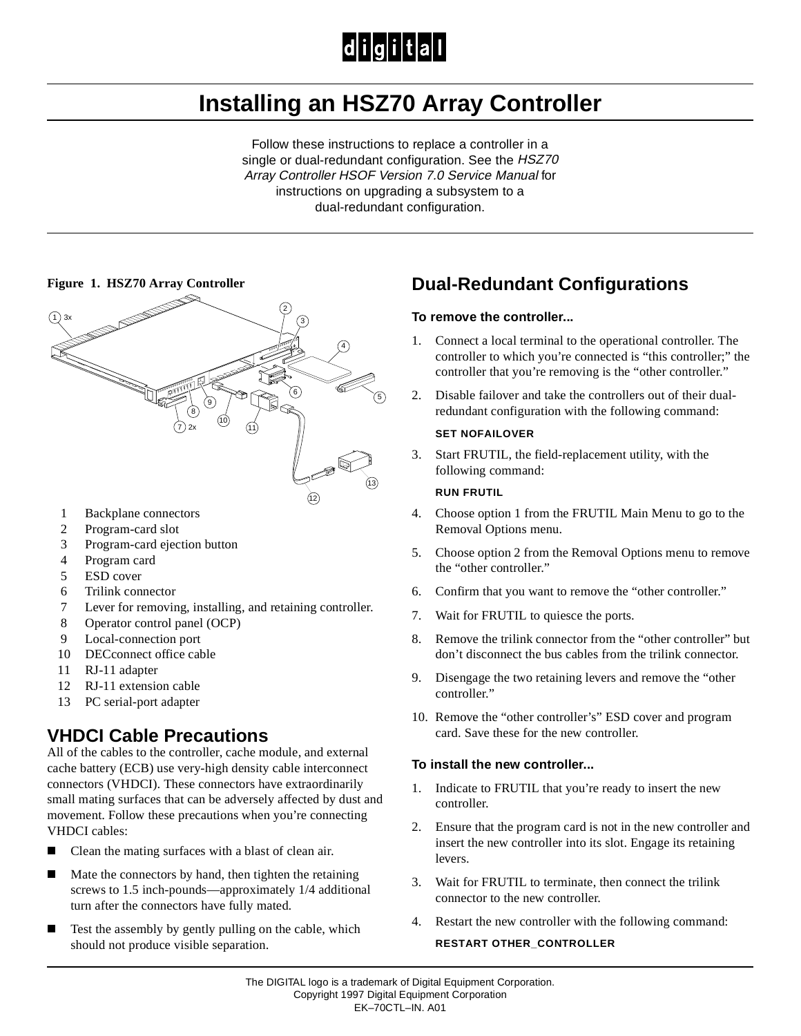# $|d|i|g|i|t|a|I$

# **Installing an HSZ70 Array Controller**

Follow these instructions to replace a controller in a single or dual-redundant configuration. See the HSZ70 Array Controller HSOF Version 7.0 Service Manual for instructions on upgrading a subsystem to a dual-redundant configuration.



- 1 Backplane connectors
- 2 Program-card slot
- 3 Program-card ejection button
- 4 Program card
- 5 ESD cover
- 6 Trilink connector
- 7 Lever for removing, installing, and retaining controller.
- 8 Operator control panel (OCP)
- 9 Local-connection port
- 10 DECconnect office cable
- 11 RJ-11 adapter
- 12 RJ-11 extension cable
- 13 PC serial-port adapter

### **VHDCI Cable Precautions**

All of the cables to the controller, cache module, and external cache battery (ECB) use very-high density cable interconnect connectors (VHDCI). These connectors have extraordinarily small mating surfaces that can be adversely affected by dust and movement. Follow these precautions when you're connecting VHDCI cables:

- П Clean the mating surfaces with a blast of clean air.
- П Mate the connectors by hand, then tighten the retaining screws to 1.5 inch-pounds—approximately 1/4 additional turn after the connectors have fully mated.
- $\blacksquare$  Test the assembly by gently pulling on the cable, which should not produce visible separation.

# **Dual-Redundant Configurations**

#### **To remove the controller...**

- 1. Connect a local terminal to the operational controller. The controller to which you're connected is "this controller;" the controller that you're removing is the "other controller."
- 2. Disable failover and take the controllers out of their dualredundant configuration with the following command:

#### **SET NOFAILOVER**

3. Start FRUTIL, the field-replacement utility, with the following command:

#### **RUN FRUTIL**

- 4. Choose option 1 from the FRUTIL Main Menu to go to the Removal Options menu.
- 5. Choose option 2 from the Removal Options menu to remove the "other controller."
- 6. Confirm that you want to remove the "other controller."
- 7. Wait for FRUTIL to quiesce the ports.
- 8. Remove the trilink connector from the "other controller" but don't disconnect the bus cables from the trilink connector.
- 9. Disengage the two retaining levers and remove the "other controller."
- 10. Remove the "other controller's" ESD cover and program card. Save these for the new controller.

#### **To install the new controller...**

- 1. Indicate to FRUTIL that you're ready to insert the new controller.
- 2. Ensure that the program card is not in the new controller and insert the new controller into its slot. Engage its retaining levers.
- 3. Wait for FRUTIL to terminate, then connect the trilink connector to the new controller.
- 4. Restart the new controller with the following command:

#### **RESTART OTHER\_CONTROLLER**